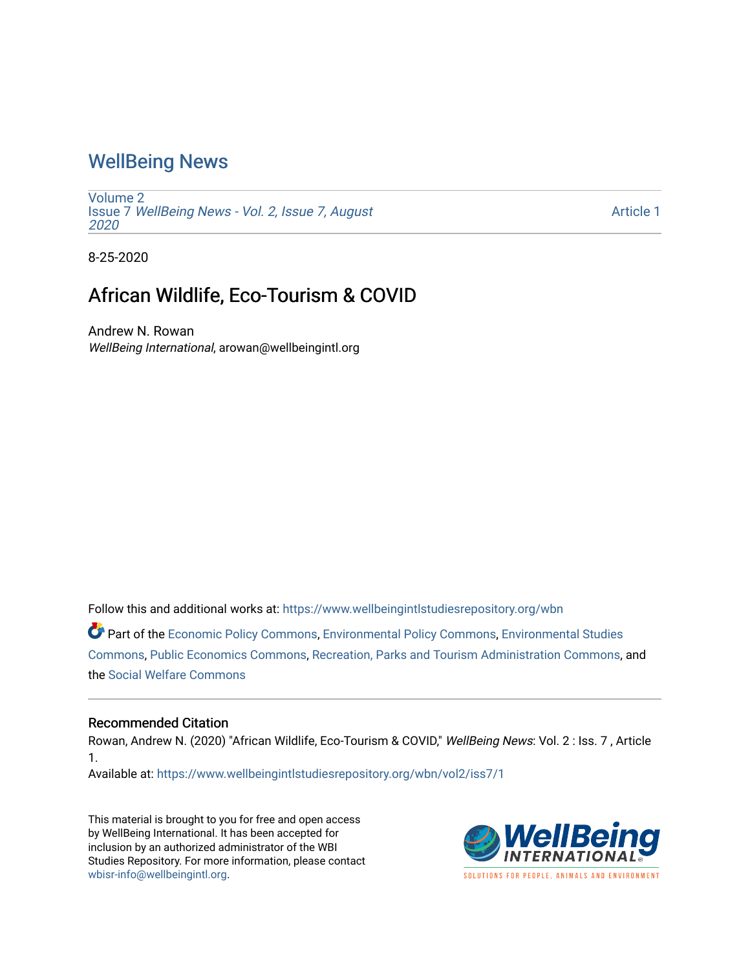## [WellBeing News](https://www.wellbeingintlstudiesrepository.org/wbn)

[Volume 2](https://www.wellbeingintlstudiesrepository.org/wbn/vol2) Issue 7 [WellBeing News - Vol. 2, Issue 7, August](https://www.wellbeingintlstudiesrepository.org/wbn/vol2/iss7) [2020](https://www.wellbeingintlstudiesrepository.org/wbn/vol2/iss7) 

[Article 1](https://www.wellbeingintlstudiesrepository.org/wbn/vol2/iss7/1) 

8-25-2020

## African Wildlife, Eco-Tourism & COVID

Andrew N. Rowan WellBeing International, arowan@wellbeingintl.org

Follow this and additional works at: [https://www.wellbeingintlstudiesrepository.org/wbn](https://www.wellbeingintlstudiesrepository.org/wbn?utm_source=www.wellbeingintlstudiesrepository.org%2Fwbn%2Fvol2%2Fiss7%2F1&utm_medium=PDF&utm_campaign=PDFCoverPages)

Part of the [Economic Policy Commons](http://network.bepress.com/hgg/discipline/1025?utm_source=www.wellbeingintlstudiesrepository.org%2Fwbn%2Fvol2%2Fiss7%2F1&utm_medium=PDF&utm_campaign=PDFCoverPages), [Environmental Policy Commons](http://network.bepress.com/hgg/discipline/1027?utm_source=www.wellbeingintlstudiesrepository.org%2Fwbn%2Fvol2%2Fiss7%2F1&utm_medium=PDF&utm_campaign=PDFCoverPages), [Environmental Studies](http://network.bepress.com/hgg/discipline/1333?utm_source=www.wellbeingintlstudiesrepository.org%2Fwbn%2Fvol2%2Fiss7%2F1&utm_medium=PDF&utm_campaign=PDFCoverPages)  [Commons](http://network.bepress.com/hgg/discipline/1333?utm_source=www.wellbeingintlstudiesrepository.org%2Fwbn%2Fvol2%2Fiss7%2F1&utm_medium=PDF&utm_campaign=PDFCoverPages), [Public Economics Commons](http://network.bepress.com/hgg/discipline/351?utm_source=www.wellbeingintlstudiesrepository.org%2Fwbn%2Fvol2%2Fiss7%2F1&utm_medium=PDF&utm_campaign=PDFCoverPages), [Recreation, Parks and Tourism Administration Commons,](http://network.bepress.com/hgg/discipline/1067?utm_source=www.wellbeingintlstudiesrepository.org%2Fwbn%2Fvol2%2Fiss7%2F1&utm_medium=PDF&utm_campaign=PDFCoverPages) and the [Social Welfare Commons](http://network.bepress.com/hgg/discipline/401?utm_source=www.wellbeingintlstudiesrepository.org%2Fwbn%2Fvol2%2Fiss7%2F1&utm_medium=PDF&utm_campaign=PDFCoverPages) 

#### Recommended Citation

Rowan, Andrew N. (2020) "African Wildlife, Eco-Tourism & COVID," WellBeing News: Vol. 2 : Iss. 7 , Article 1.

Available at: [https://www.wellbeingintlstudiesrepository.org/wbn/vol2/iss7/1](https://www.wellbeingintlstudiesrepository.org/wbn/vol2/iss7/1?utm_source=www.wellbeingintlstudiesrepository.org%2Fwbn%2Fvol2%2Fiss7%2F1&utm_medium=PDF&utm_campaign=PDFCoverPages)

This material is brought to you for free and open access by WellBeing International. It has been accepted for inclusion by an authorized administrator of the WBI Studies Repository. For more information, please contact [wbisr-info@wellbeingintl.org](mailto:wbisr-info@wellbeingintl.org).

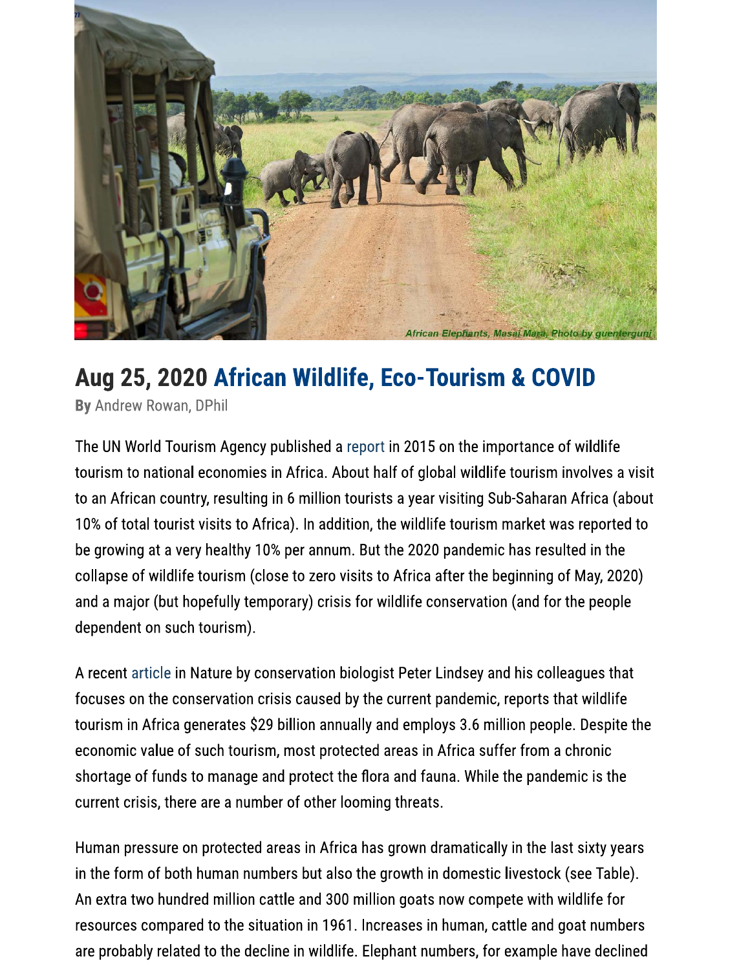

# Aug 25, 2020 African Wildlife, Eco-Tourism & COVID

By Andrew Rowan, DPhil

The UN World Tourism Agency published a report in 2015 on the importance of wildlife tourism to national economies in Africa. About half of global wildlife tourism involves a visit to an African country, resulting in 6 million tourists a year visiting Sub-Saharan Africa (about 10% of total tourist visits to Africa). In addition, the wildlife tourism market was reported to be growing at a very healthy 10% per annum. But the 2020 pandemic has resulted in the collapse of wildlife tourism (close to zero visits to Africa after the beginning of May, 2020) and a major (but hopefully temporary) crisis for wildlife conservation (and for the people dependent on such tourism).

A recent article in Nature by conservation biologist Peter Lindsey and his colleagues that focuses on the conservation crisis caused by the current pandemic, reports that wildlife tourism in Africa generates \$29 billion annually and employs 3.6 million people. Despite the economic value of such tourism, most protected areas in Africa suffer from a chronic shortage of funds to manage and protect the flora and fauna. While the pandemic is the current crisis, there are a number of other looming threats.

Human pressure on protected areas in Africa has grown dramatically in the last sixty years in the form of both human numbers but also the growth in domestic livestock (see Table). An extra two hundred million cattle and 300 million goats now compete with wildlife for resources compared to the situation in 1961. Increases in human, cattle and goat numbers are probably related to the decline in wildlife. Elephant numbers, for example have declined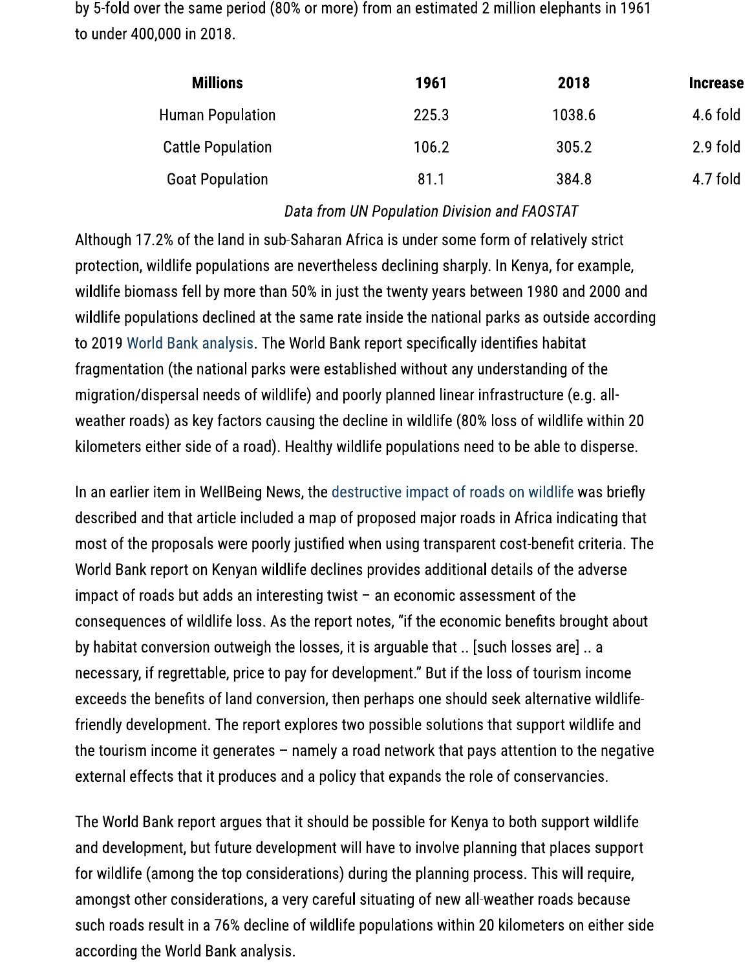by 5-fold over the same period (80% or more) from an estimated 2 million elephants in 1961 to under 400,000 in 2018.

| <b>Millions</b>          | 1961  | 2018   | <b>Increase</b> |
|--------------------------|-------|--------|-----------------|
| <b>Human Population</b>  | 225.3 | 1038.6 | 4.6 fold        |
| <b>Cattle Population</b> | 106.2 | 305.2  | 2.9 fold        |
| <b>Goat Population</b>   | 81.1  | 384.8  | 4.7 fold        |

### Data from UN Population Division and FAOSTAT

Although 17.2% of the land in sub-Saharan Africa is under some form of relatively strict protection, wildlife populations are nevertheless declining sharply. In Kenya, for example, wildlife biomass fell by more than 50% in just the twenty years between 1980 and 2000 and wildlife populations declined at the same rate inside the national parks as outside according to 2019 World Bank analysis. The World Bank report specifically identifies habitat fragmentation (the national parks were established without any understanding of the migration/dispersal needs of wildlife) and poorly planned linear infrastructure (e.g. allweather roads) as key factors causing the decline in wildlife (80% loss of wildlife within 20 kilometers either side of a road). Healthy wildlife populations need to be able to disperse.

In an earlier item in WellBeing News, the destructive impact of roads on wildlife was briefly described and that article included a map of proposed major roads in Africa indicating that most of the proposals were poorly justified when using transparent cost-benefit criteria. The World Bank report on Kenyan wildlife declines provides additional details of the adverse impact of roads but adds an interesting twist  $-$  an economic assessment of the consequences of wildlife loss. As the report notes, "if the economic benefits brought about by habitat conversion outweigh the losses, it is arguable that .. [such losses are] .. a necessary, if regrettable, price to pay for development." But if the loss of tourism income exceeds the benefits of land conversion, then perhaps one should seek alternative wildlifefriendly development. The report explores two possible solutions that support wildlife and the tourism income it generates  $-$  namely a road network that pays attention to the negative external effects that it produces and a policy that expands the role of conservancies.

The World Bank report argues that it should be possible for Kenya to both support wildlife and development, but future development will have to involve planning that places support for wildlife (among the top considerations) during the planning process. This will require, amongst other considerations, a very careful situating of new all-weather roads because such roads result in a 76% decline of wildlife populations within 20 kilometers on either side according the World Bank analysis.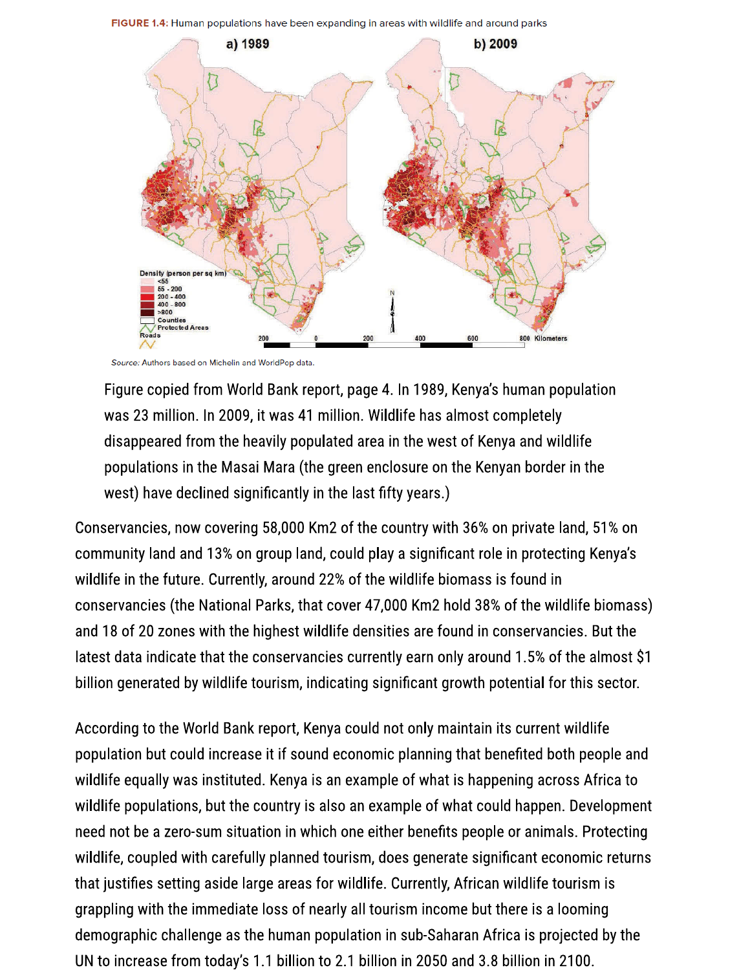FIGURE 1.4: Human populations have been expanding in areas with wildlife and around parks



Source: Authors based on Michelin and WorldPop data

Figure copied from World Bank report, page 4. In 1989, Kenya's human population was 23 million. In 2009, it was 41 million. Wildlife has almost completely disappeared from the heavily populated area in the west of Kenya and wildlife populations in the Masai Mara (the green enclosure on the Kenyan border in the west) have declined significantly in the last fifty years.)

Conservancies, now covering 58,000 Km2 of the country with 36% on private land, 51% on community land and 13% on group land, could play a significant role in protecting Kenya's wildlife in the future. Currently, around 22% of the wildlife biomass is found in conservancies (the National Parks, that cover 47,000 Km2 hold 38% of the wildlife biomass) and 18 of 20 zones with the highest wildlife densities are found in conservancies. But the latest data indicate that the conservancies currently earn only around 1.5% of the almost \$1 billion generated by wildlife tourism, indicating significant growth potential for this sector.

According to the World Bank report, Kenya could not only maintain its current wildlife population but could increase it if sound economic planning that benefited both people and wildlife equally was instituted. Kenya is an example of what is happening across Africa to wildlife populations, but the country is also an example of what could happen. Development need not be a zero-sum situation in which one either benefits people or animals. Protecting wildlife, coupled with carefully planned tourism, does generate significant economic returns that justifies setting aside large areas for wildlife. Currently, African wildlife tourism is grappling with the immediate loss of nearly all tourism income but there is a looming demographic challenge as the human population in sub-Saharan Africa is projected by the UN to increase from today's 1.1 billion to 2.1 billion in 2050 and 3.8 billion in 2100.